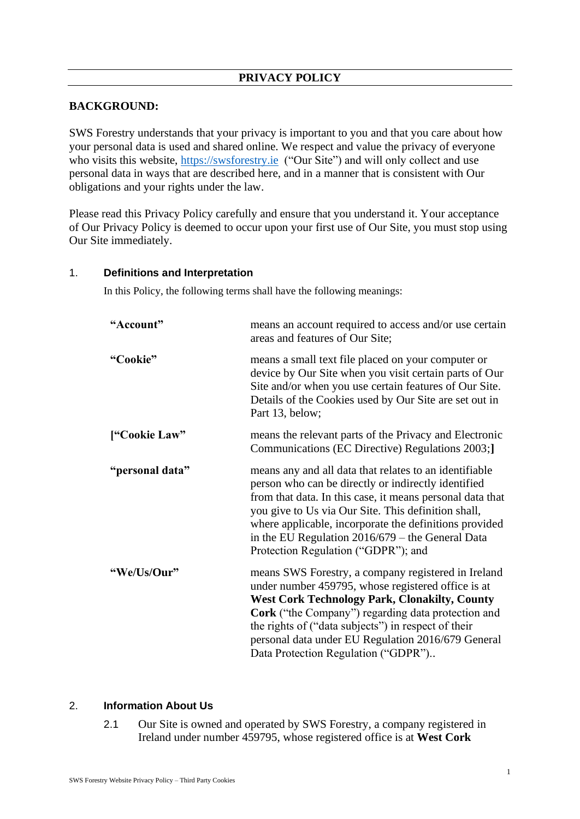# **PRIVACY POLICY**

## **BACKGROUND:**

SWS Forestry understands that your privacy is important to you and that you care about how your personal data is used and shared online. We respect and value the privacy of everyone who visits this website, [https://swsforestry.ie](https://swsforestry.ie/) ("Our Site") and will only collect and use personal data in ways that are described here, and in a manner that is consistent with Our obligations and your rights under the law.

Please read this Privacy Policy carefully and ensure that you understand it. Your acceptance of Our Privacy Policy is deemed to occur upon your first use of Our Site, you must stop using Our Site immediately.

#### 1. **Definitions and Interpretation**

In this Policy, the following terms shall have the following meanings:

| "Account"       | means an account required to access and/or use certain<br>areas and features of Our Site;                                                                                                                                                                                                                                                                                                |  |
|-----------------|------------------------------------------------------------------------------------------------------------------------------------------------------------------------------------------------------------------------------------------------------------------------------------------------------------------------------------------------------------------------------------------|--|
| "Cookie"        | means a small text file placed on your computer or<br>device by Our Site when you visit certain parts of Our<br>Site and/or when you use certain features of Our Site.<br>Details of the Cookies used by Our Site are set out in<br>Part 13, below;                                                                                                                                      |  |
| ["Cookie Law"   | means the relevant parts of the Privacy and Electronic<br>Communications (EC Directive) Regulations 2003;                                                                                                                                                                                                                                                                                |  |
| "personal data" | means any and all data that relates to an identifiable<br>person who can be directly or indirectly identified<br>from that data. In this case, it means personal data that<br>you give to Us via Our Site. This definition shall,<br>where applicable, incorporate the definitions provided<br>in the EU Regulation $2016/679$ – the General Data<br>Protection Regulation ("GDPR"); and |  |
| "We/Us/Our"     | means SWS Forestry, a company registered in Ireland<br>under number 459795, whose registered office is at<br><b>West Cork Technology Park, Clonakilty, County</b><br>Cork ("the Company") regarding data protection and<br>the rights of ("data subjects") in respect of their<br>personal data under EU Regulation 2016/679 General<br>Data Protection Regulation ("GDPR")              |  |

# 2. **Information About Us**

2.1 Our Site is owned and operated by SWS Forestry, a company registered in Ireland under number 459795, whose registered office is at **West Cork**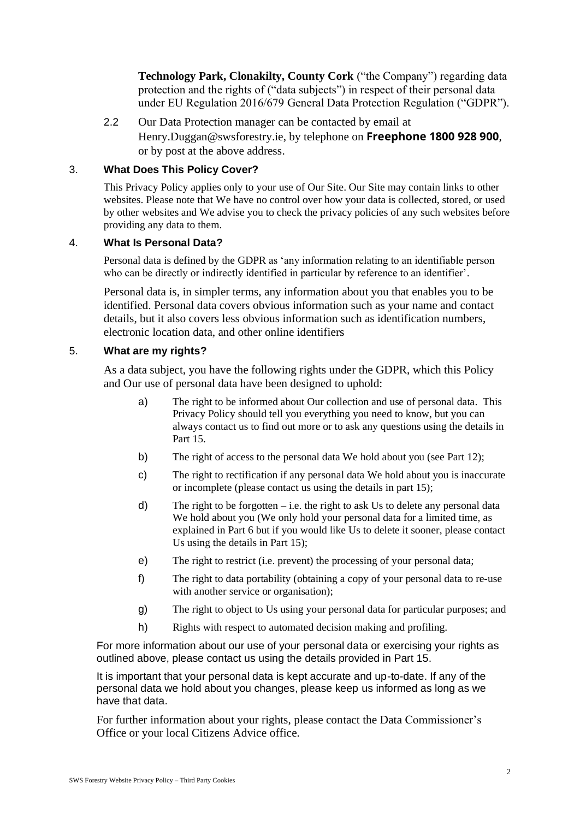**Technology Park, Clonakilty, County Cork** ("the Company") regarding data protection and the rights of ("data subjects") in respect of their personal data under EU Regulation 2016/679 General Data Protection Regulation ("GDPR").

2.2 Our Data Protection manager can be contacted by email at Henry.Duggan@swsforestry.ie, by telephone on **Freephone 1800 928 900**, or by post at the above address.

## 3. **What Does This Policy Cover?**

This Privacy Policy applies only to your use of Our Site. Our Site may contain links to other websites. Please note that We have no control over how your data is collected, stored, or used by other websites and We advise you to check the privacy policies of any such websites before providing any data to them.

#### 4. **What Is Personal Data?**

Personal data is defined by the GDPR as 'any information relating to an identifiable person who can be directly or indirectly identified in particular by reference to an identifier<sup>7</sup>.

Personal data is, in simpler terms, any information about you that enables you to be identified. Personal data covers obvious information such as your name and contact details, but it also covers less obvious information such as identification numbers, electronic location data, and other online identifiers

#### 5. **What are my rights?**

As a data subject, you have the following rights under the GDPR, which this Policy and Our use of personal data have been designed to uphold:

- a) The right to be informed about Our collection and use of personal data. This Privacy Policy should tell you everything you need to know, but you can always contact us to find out more or to ask any questions using the details in Part 15.
- b) The right of access to the personal data We hold about you (see Part 12);
- c) The right to rectification if any personal data We hold about you is inaccurate or incomplete (please contact us using the details in part 15);
- d) The right to be forgotten i.e. the right to ask Us to delete any personal data We hold about you (We only hold your personal data for a limited time, as explained in Part 6 but if you would like Us to delete it sooner, please contact Us using the details in Part 15);
- e) The right to restrict (i.e. prevent) the processing of your personal data;
- f) The right to data portability (obtaining a copy of your personal data to re-use with another service or organisation);
- g) The right to object to Us using your personal data for particular purposes; and
- h) Rights with respect to automated decision making and profiling.

For more information about our use of your personal data or exercising your rights as outlined above, please contact us using the details provided in Part 15.

It is important that your personal data is kept accurate and up-to-date. If any of the personal data we hold about you changes, please keep us informed as long as we have that data.

For further information about your rights, please contact the Data Commissioner's Office or your local Citizens Advice office.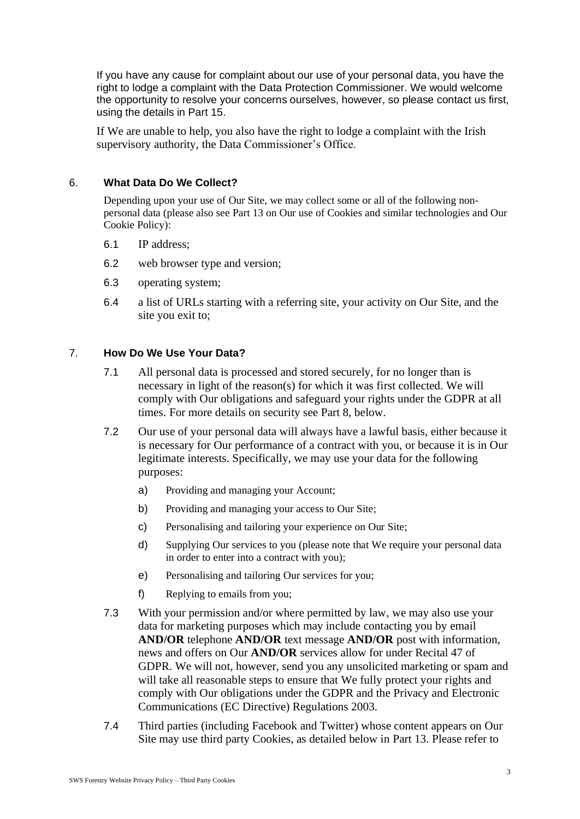If you have any cause for complaint about our use of your personal data, you have the right to lodge a complaint with the Data Protection Commissioner. We would welcome the opportunity to resolve your concerns ourselves, however, so please contact us first, using the details in Part 15.

If We are unable to help, you also have the right to lodge a complaint with the Irish supervisory authority, the Data Commissioner's Office.

## 6. **What Data Do We Collect?**

Depending upon your use of Our Site, we may collect some or all of the following nonpersonal data (please also see Part 13 on Our use of Cookies and similar technologies and Our Cookie Policy):

- 6.1 IP address;
- 6.2 web browser type and version;
- 6.3 operating system;
- 6.4 a list of URLs starting with a referring site, your activity on Our Site, and the site you exit to;

#### 7. **How Do We Use Your Data?**

- 7.1 All personal data is processed and stored securely, for no longer than is necessary in light of the reason(s) for which it was first collected. We will comply with Our obligations and safeguard your rights under the GDPR at all times. For more details on security see Part 8, below.
- 7.2 Our use of your personal data will always have a lawful basis, either because it is necessary for Our performance of a contract with you, or because it is in Our legitimate interests. Specifically, we may use your data for the following purposes:
	- a) Providing and managing your Account;
	- b) Providing and managing your access to Our Site;
	- c) Personalising and tailoring your experience on Our Site;
	- d) Supplying Our services to you (please note that We require your personal data in order to enter into a contract with you);
	- e) Personalising and tailoring Our services for you;
	- f) Replying to emails from you;
- 7.3 With your permission and/or where permitted by law, we may also use your data for marketing purposes which may include contacting you by email **AND/OR** telephone **AND/OR** text message **AND/OR** post with information, news and offers on Our **AND/OR** services allow for under Recital 47 of GDPR. We will not, however, send you any unsolicited marketing or spam and will take all reasonable steps to ensure that We fully protect your rights and comply with Our obligations under the GDPR and the Privacy and Electronic Communications (EC Directive) Regulations 2003.
- 7.4 Third parties (including Facebook and Twitter) whose content appears on Our Site may use third party Cookies, as detailed below in Part 13. Please refer to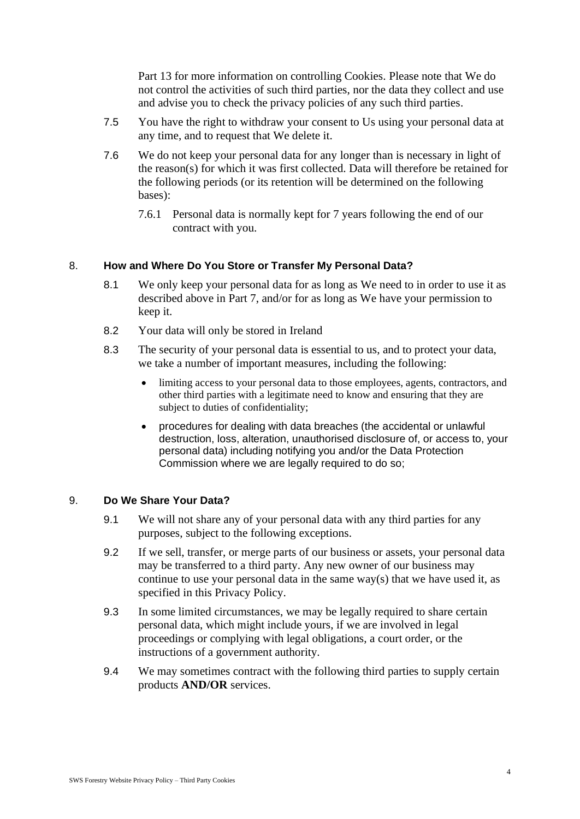Part 13 for more information on controlling Cookies. Please note that We do not control the activities of such third parties, nor the data they collect and use and advise you to check the privacy policies of any such third parties.

- 7.5 You have the right to withdraw your consent to Us using your personal data at any time, and to request that We delete it.
- 7.6 We do not keep your personal data for any longer than is necessary in light of the reason(s) for which it was first collected. Data will therefore be retained for the following periods (or its retention will be determined on the following bases):
	- 7.6.1 Personal data is normally kept for 7 years following the end of our contract with you.

## 8. **How and Where Do You Store or Transfer My Personal Data?**

- 8.1 We only keep your personal data for as long as We need to in order to use it as described above in Part 7, and/or for as long as We have your permission to keep it.
- 8.2 Your data will only be stored in Ireland
- 8.3 The security of your personal data is essential to us, and to protect your data, we take a number of important measures, including the following:
	- limiting access to your personal data to those employees, agents, contractors, and other third parties with a legitimate need to know and ensuring that they are subject to duties of confidentiality;
	- procedures for dealing with data breaches (the accidental or unlawful destruction, loss, alteration, unauthorised disclosure of, or access to, your personal data) including notifying you and/or the Data Protection Commission where we are legally required to do so;

## 9. **Do We Share Your Data?**

- 9.1 We will not share any of your personal data with any third parties for any purposes, subject to the following exceptions.
- 9.2 If we sell, transfer, or merge parts of our business or assets, your personal data may be transferred to a third party. Any new owner of our business may continue to use your personal data in the same way(s) that we have used it, as specified in this Privacy Policy.
- 9.3 In some limited circumstances, we may be legally required to share certain personal data, which might include yours, if we are involved in legal proceedings or complying with legal obligations, a court order, or the instructions of a government authority.
- 9.4 We may sometimes contract with the following third parties to supply certain products **AND/OR** services.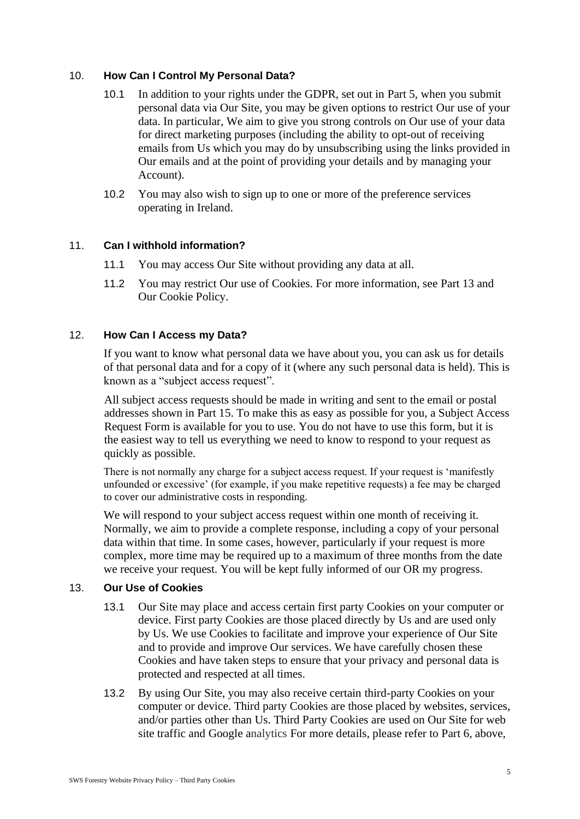## 10. **How Can I Control My Personal Data?**

- 10.1 In addition to your rights under the GDPR, set out in Part 5, when you submit personal data via Our Site, you may be given options to restrict Our use of your data. In particular, We aim to give you strong controls on Our use of your data for direct marketing purposes (including the ability to opt-out of receiving emails from Us which you may do by unsubscribing using the links provided in Our emails and at the point of providing your details and by managing your Account).
- 10.2 You may also wish to sign up to one or more of the preference services operating in Ireland.

# 11. **Can I withhold information?**

- 11.1 You may access Our Site without providing any data at all.
- 11.2 You may restrict Our use of Cookies. For more information, see Part 13 and Our Cookie Policy.

# 12. **How Can I Access my Data?**

If you want to know what personal data we have about you, you can ask us for details of that personal data and for a copy of it (where any such personal data is held). This is known as a "subject access request".

All subject access requests should be made in writing and sent to the email or postal addresses shown in Part 15. To make this as easy as possible for you, a Subject Access Request Form is available for you to use. You do not have to use this form, but it is the easiest way to tell us everything we need to know to respond to your request as quickly as possible.

There is not normally any charge for a subject access request. If your request is 'manifestly unfounded or excessive' (for example, if you make repetitive requests) a fee may be charged to cover our administrative costs in responding.

We will respond to your subject access request within one month of receiving it. Normally, we aim to provide a complete response, including a copy of your personal data within that time. In some cases, however, particularly if your request is more complex, more time may be required up to a maximum of three months from the date we receive your request. You will be kept fully informed of our OR my progress.

## 13. **Our Use of Cookies**

- 13.1 Our Site may place and access certain first party Cookies on your computer or device. First party Cookies are those placed directly by Us and are used only by Us. We use Cookies to facilitate and improve your experience of Our Site and to provide and improve Our services. We have carefully chosen these Cookies and have taken steps to ensure that your privacy and personal data is protected and respected at all times.
- 13.2 By using Our Site, you may also receive certain third-party Cookies on your computer or device. Third party Cookies are those placed by websites, services, and/or parties other than Us. Third Party Cookies are used on Our Site for web site traffic and Google analytics For more details, please refer to Part 6, above,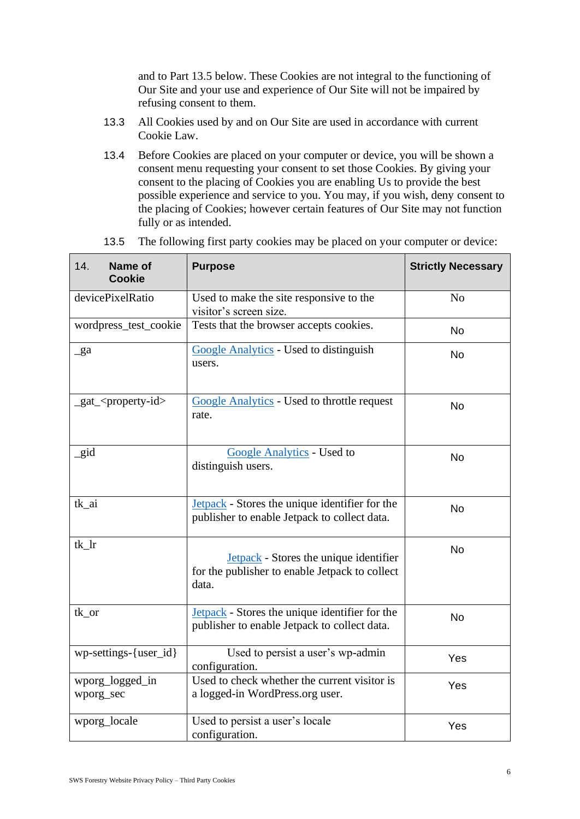and to Part 13.5 below. These Cookies are not integral to the functioning of Our Site and your use and experience of Our Site will not be impaired by refusing consent to them.

- 13.3 All Cookies used by and on Our Site are used in accordance with current Cookie Law.
- 13.4 Before Cookies are placed on your computer or device, you will be shown a consent menu requesting your consent to set those Cookies. By giving your consent to the placing of Cookies you are enabling Us to provide the best possible experience and service to you. You may, if you wish, deny consent to the placing of Cookies; however certain features of Our Site may not function fully or as intended.

| 14.<br><b>Name of</b><br><b>Cookie</b> | <b>Purpose</b>                                                                                           | <b>Strictly Necessary</b> |
|----------------------------------------|----------------------------------------------------------------------------------------------------------|---------------------------|
| devicePixelRatio                       | Used to make the site responsive to the<br>visitor's screen size.                                        | N <sub>0</sub>            |
| wordpress_test_cookie                  | Tests that the browser accepts cookies.                                                                  | <b>No</b>                 |
| $\_ga$                                 | <b>Google Analytics</b> - Used to distinguish<br>users.                                                  | <b>No</b>                 |
| _gat_ <property-id></property-id>      | <b>Google Analytics</b> - Used to throttle request<br>rate.                                              | <b>No</b>                 |
| gid                                    | Google Analytics - Used to<br>distinguish users.                                                         | <b>No</b>                 |
| tk_ai                                  | <b>Jetpack</b> - Stores the unique identifier for the<br>publisher to enable Jetpack to collect data.    | <b>No</b>                 |
| $tk_lr$                                | <b>Jetpack</b> - Stores the unique identifier<br>for the publisher to enable Jetpack to collect<br>data. | <b>No</b>                 |
| tk_or                                  | <b>Jetpack</b> - Stores the unique identifier for the<br>publisher to enable Jetpack to collect data.    | <b>No</b>                 |
| wp-settings-{user_id}                  | Used to persist a user's wp-admin<br>configuration.                                                      | Yes                       |
| wporg_logged_in<br>wporg_sec           | Used to check whether the current visitor is<br>a logged-in WordPress.org user.                          | Yes                       |
| wporg_locale                           | Used to persist a user's locale<br>configuration.                                                        | Yes                       |

13.5 The following first party cookies may be placed on your computer or device: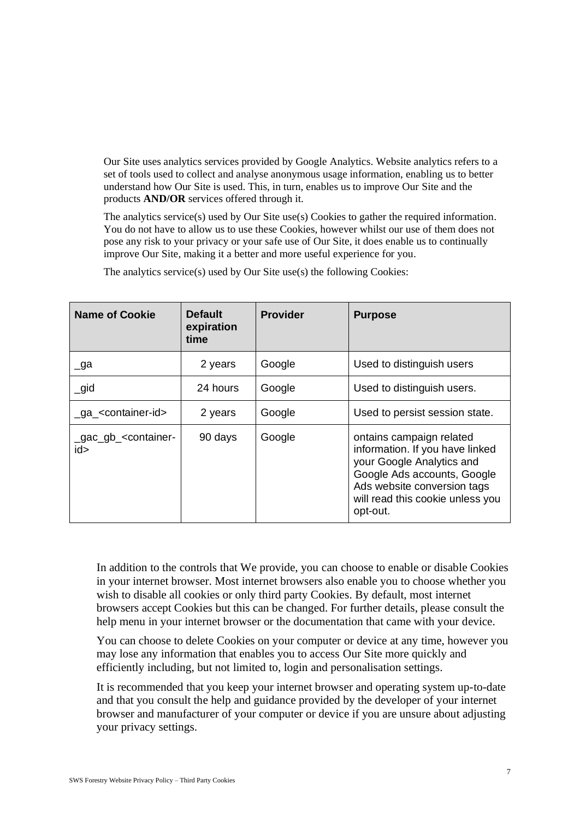Our Site uses analytics services provided by Google Analytics. Website analytics refers to a set of tools used to collect and analyse anonymous usage information, enabling us to better understand how Our Site is used. This, in turn, enables us to improve Our Site and the products **AND/OR** services offered through it.

The analytics service(s) used by Our Site use(s) Cookies to gather the required information. You do not have to allow us to use these Cookies, however whilst our use of them does not pose any risk to your privacy or your safe use of Our Site, it does enable us to continually improve Our Site, making it a better and more useful experience for you.

| <b>Name of Cookie</b>                          | <b>Default</b><br>expiration<br>time | <b>Provider</b> | <b>Purpose</b>                                                                                                                                                                                         |
|------------------------------------------------|--------------------------------------|-----------------|--------------------------------------------------------------------------------------------------------------------------------------------------------------------------------------------------------|
| $\lrcorner$ ga                                 | 2 years                              | Google          | Used to distinguish users                                                                                                                                                                              |
| $\_$ gid                                       | 24 hours                             | Google          | Used to distinguish users.                                                                                                                                                                             |
| _ga_ <container-id></container-id>             | 2 years                              | Google          | Used to persist session state.                                                                                                                                                                         |
| _gac_gb_ <container-<br>id&gt;</container-<br> | 90 days                              | Google          | ontains campaign related<br>information. If you have linked<br>your Google Analytics and<br>Google Ads accounts, Google<br>Ads website conversion tags<br>will read this cookie unless you<br>opt-out. |

The analytics service(s) used by Our Site use(s) the following Cookies:

In addition to the controls that We provide, you can choose to enable or disable Cookies in your internet browser. Most internet browsers also enable you to choose whether you wish to disable all cookies or only third party Cookies. By default, most internet browsers accept Cookies but this can be changed. For further details, please consult the help menu in your internet browser or the documentation that came with your device.

You can choose to delete Cookies on your computer or device at any time, however you may lose any information that enables you to access Our Site more quickly and efficiently including, but not limited to, login and personalisation settings.

It is recommended that you keep your internet browser and operating system up-to-date and that you consult the help and guidance provided by the developer of your internet browser and manufacturer of your computer or device if you are unsure about adjusting your privacy settings.